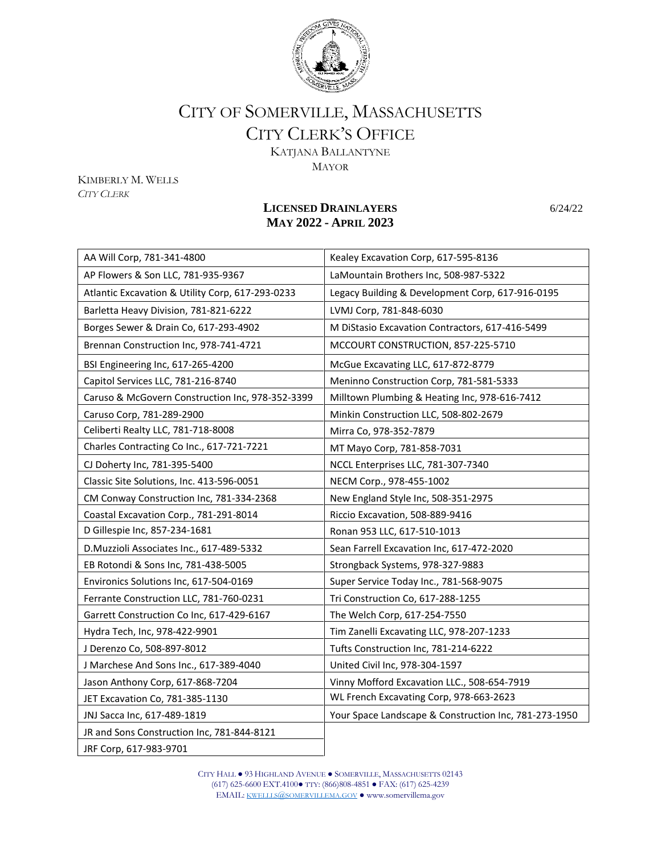

## CITY OF SOMERVILLE, MASSACHUSETTS CITY CLERK'S OFFICE

KATJANA BALLANTYNE MAYOR

KIMBERLY M. WELLS *CITY CLERK*

## **LICENSED DRAINLAYERS** 6/24/22 **MAY 2022 - APRIL 2023**

| AA Will Corp, 781-341-4800                       | Kealey Excavation Corp, 617-595-8136                  |
|--------------------------------------------------|-------------------------------------------------------|
| AP Flowers & Son LLC, 781-935-9367               | LaMountain Brothers Inc, 508-987-5322                 |
| Atlantic Excavation & Utility Corp, 617-293-0233 | Legacy Building & Development Corp, 617-916-0195      |
| Barletta Heavy Division, 781-821-6222            | LVMJ Corp, 781-848-6030                               |
| Borges Sewer & Drain Co, 617-293-4902            | M DiStasio Excavation Contractors, 617-416-5499       |
| Brennan Construction Inc, 978-741-4721           | MCCOURT CONSTRUCTION, 857-225-5710                    |
| BSI Engineering Inc, 617-265-4200                | McGue Excavating LLC, 617-872-8779                    |
| Capitol Services LLC, 781-216-8740               | Meninno Construction Corp, 781-581-5333               |
| Caruso & McGovern Construction Inc, 978-352-3399 | Milltown Plumbing & Heating Inc, 978-616-7412         |
| Caruso Corp, 781-289-2900                        | Minkin Construction LLC, 508-802-2679                 |
| Celiberti Realty LLC, 781-718-8008               | Mirra Co, 978-352-7879                                |
| Charles Contracting Co Inc., 617-721-7221        | MT Mayo Corp, 781-858-7031                            |
| CJ Doherty Inc, 781-395-5400                     | NCCL Enterprises LLC, 781-307-7340                    |
| Classic Site Solutions, Inc. 413-596-0051        | NECM Corp., 978-455-1002                              |
| CM Conway Construction Inc, 781-334-2368         | New England Style Inc, 508-351-2975                   |
| Coastal Excavation Corp., 781-291-8014           | Riccio Excavation, 508-889-9416                       |
| D Gillespie Inc, 857-234-1681                    | Ronan 953 LLC, 617-510-1013                           |
| D.Muzzioli Associates Inc., 617-489-5332         | Sean Farrell Excavation Inc, 617-472-2020             |
| EB Rotondi & Sons Inc, 781-438-5005              | Strongback Systems, 978-327-9883                      |
| Environics Solutions Inc, 617-504-0169           | Super Service Today Inc., 781-568-9075                |
| Ferrante Construction LLC, 781-760-0231          | Tri Construction Co, 617-288-1255                     |
| Garrett Construction Co Inc, 617-429-6167        | The Welch Corp, 617-254-7550                          |
| Hydra Tech, Inc, 978-422-9901                    | Tim Zanelli Excavating LLC, 978-207-1233              |
| J Derenzo Co, 508-897-8012                       | Tufts Construction Inc, 781-214-6222                  |
| J Marchese And Sons Inc., 617-389-4040           | United Civil Inc, 978-304-1597                        |
| Jason Anthony Corp, 617-868-7204                 | Vinny Mofford Excavation LLC., 508-654-7919           |
| JET Excavation Co, 781-385-1130                  | WL French Excavating Corp, 978-663-2623               |
| JNJ Sacca Inc, 617-489-1819                      | Your Space Landscape & Construction Inc, 781-273-1950 |
| JR and Sons Construction Inc, 781-844-8121       |                                                       |
| JRF Corp, 617-983-9701                           |                                                       |

CITY HALL ● 93 HIGHLAND AVENUE ● SOMERVILLE, MASSACHUSETTS 02143 (617) 625-6600 EXT.4100● TTY: (866)808-4851 ● FAX: (617) 625-4239 EMAIL: KWELLLS@[SOMERVILLEMA](mailto:kwellls@somervillema.gov).GOV ● www.somervillema.gov